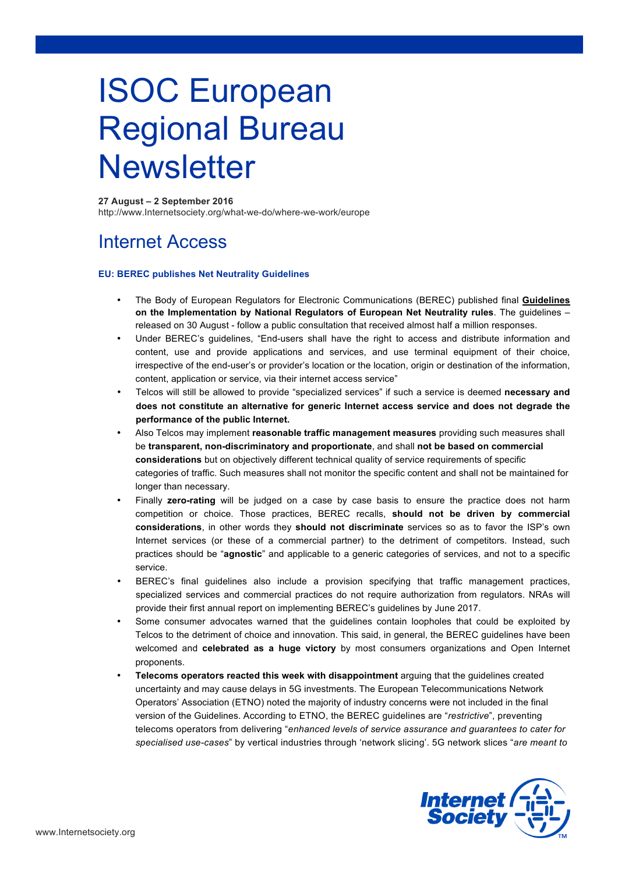# ISOC European Regional Bureau **Newsletter**

### **27 August – 2 September 2016**

http://www.Internetsociety.org/what-we-do/where-we-work/europe

# Internet Access

### **EU: BEREC publishes Net Neutrality Guidelines**

- The Body of European Regulators for Electronic Communications (BEREC) published final **Guidelines on the Implementation by National Regulators of European Net Neutrality rules**. The guidelines – released on 30 August - follow a public consultation that received almost half a million responses.
- Under BEREC's guidelines, "End-users shall have the right to access and distribute information and content, use and provide applications and services, and use terminal equipment of their choice, irrespective of the end-user's or provider's location or the location, origin or destination of the information, content, application or service, via their internet access service"
- Telcos will still be allowed to provide "specialized services" if such a service is deemed **necessary and does not constitute an alternative for generic Internet access service and does not degrade the performance of the public Internet.**
- Also Telcos may implement **reasonable traffic management measures** providing such measures shall be **transparent, non-discriminatory and proportionate**, and shall **not be based on commercial considerations** but on objectively different technical quality of service requirements of specific categories of traffic. Such measures shall not monitor the specific content and shall not be maintained for longer than necessary.
- Finally **zero-rating** will be judged on a case by case basis to ensure the practice does not harm competition or choice. Those practices, BEREC recalls, **should not be driven by commercial considerations**, in other words they **should not discriminate** services so as to favor the ISP's own Internet services (or these of a commercial partner) to the detriment of competitors. Instead, such practices should be "**agnostic**" and applicable to a generic categories of services, and not to a specific service.
- BEREC's final guidelines also include a provision specifying that traffic management practices, specialized services and commercial practices do not require authorization from regulators. NRAs will provide their first annual report on implementing BEREC's guidelines by June 2017.
- Some consumer advocates warned that the guidelines contain loopholes that could be exploited by Telcos to the detriment of choice and innovation. This said, in general, the BEREC guidelines have been welcomed and **celebrated as a huge victory** by most consumers organizations and Open Internet proponents.
- **Telecoms operators reacted this week with disappointment** arguing that the guidelines created uncertainty and may cause delays in 5G investments. The European Telecommunications Network Operators' Association (ETNO) noted the majority of industry concerns were not included in the final version of the Guidelines. According to ETNO, the BEREC guidelines are "*restrictive*", preventing telecoms operators from delivering "*enhanced levels of service assurance and guarantees to cater for specialised use-cases*" by vertical industries through 'network slicing'. 5G network slices "*are meant to*

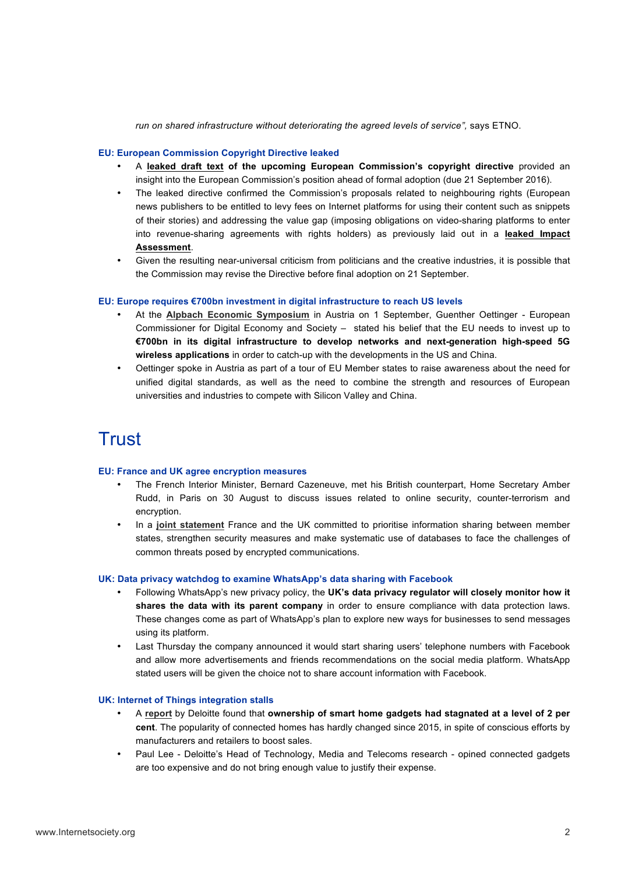*run on shared infrastructure without deteriorating the agreed levels of service",* says ETNO.

### **EU: European Commission Copyright Directive leaked**

- A **leaked draft text of the upcoming European Commission's copyright directive** provided an insight into the European Commission's position ahead of formal adoption (due 21 September 2016).
- The leaked directive confirmed the Commission's proposals related to neighbouring rights (European news publishers to be entitled to levy fees on Internet platforms for using their content such as snippets of their stories) and addressing the value gap (imposing obligations on video-sharing platforms to enter into revenue-sharing agreements with rights holders) as previously laid out in a **leaked Impact Assessment**.
- Given the resulting near-universal criticism from politicians and the creative industries, it is possible that the Commission may revise the Directive before final adoption on 21 September.

### **EU: Europe requires €700bn investment in digital infrastructure to reach US levels**

- At the **Alpbach Economic Symposium** in Austria on 1 September, Guenther Oettinger European Commissioner for Digital Economy and Society – stated his belief that the EU needs to invest up to **€700bn in its digital infrastructure to develop networks and next-generation high-speed 5G wireless applications** in order to catch-up with the developments in the US and China.
- Oettinger spoke in Austria as part of a tour of EU Member states to raise awareness about the need for unified digital standards, as well as the need to combine the strength and resources of European universities and industries to compete with Silicon Valley and China.

# Trust

#### **EU: France and UK agree encryption measures**

- The French Interior Minister, Bernard Cazeneuve, met his British counterpart, Home Secretary Amber Rudd, in Paris on 30 August to discuss issues related to online security, counter-terrorism and encryption.
- In a **joint statement** France and the UK committed to prioritise information sharing between member states, strengthen security measures and make systematic use of databases to face the challenges of common threats posed by encrypted communications.

#### **UK: Data privacy watchdog to examine WhatsApp's data sharing with Facebook**

- Following WhatsApp's new privacy policy, the **UK's data privacy regulator will closely monitor how it shares the data with its parent company** in order to ensure compliance with data protection laws. These changes come as part of WhatsApp's plan to explore new ways for businesses to send messages using its platform.
- Last Thursday the company announced it would start sharing users' telephone numbers with Facebook and allow more advertisements and friends recommendations on the social media platform. WhatsApp stated users will be given the choice not to share account information with Facebook.

#### **UK: Internet of Things integration stalls**

- A **report** by Deloitte found that **ownership of smart home gadgets had stagnated at a level of 2 per cent**. The popularity of connected homes has hardly changed since 2015, in spite of conscious efforts by manufacturers and retailers to boost sales.
- Paul Lee Deloitte's Head of Technology, Media and Telecoms research opined connected gadgets are too expensive and do not bring enough value to justify their expense.